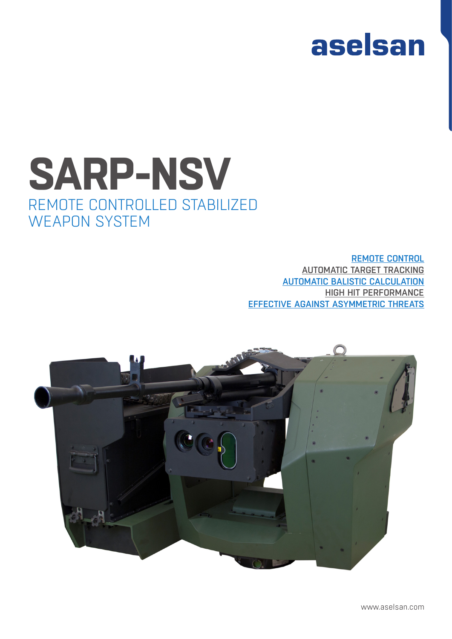# aselsan

## **SARP-NSV** REMOTE CONTROLLED STABILIZED WEAPON SYSTEM

REMOTE CONTROL AUTOMATIC TARGET TRACKING AUTOMATIC BALISTIC CALCULATION HIGH HIT PERFORMANCE EFFECTIVE AGAINST ASYMMETRIC THREATS